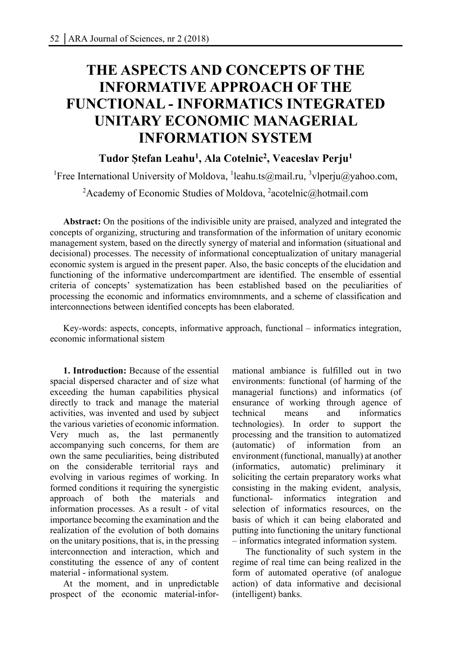# **THE ASPECTS AND CONCEPTS OF THE INFORMATIVE APPROACH OF THE FUNCTIONAL - INFORMATICS INTEGRATED UNITARY ECONOMIC MANAGERIAL INFORMATION SYSTEM**

## **Tudor Ștefan Leahu1, Ala Cotelnic2, Veaceslav Perju1**

<sup>1</sup>Free International University of Moldova, <sup>1</sup>leahu.ts@mail.ru, <sup>3</sup>vlperju@yahoo.com,

<sup>2</sup> Academy of Economic Studies of Moldova, <sup>2</sup> acotelnic@hotmail.com

**Abstract:** On the positions of the indivisible unity are praised, analyzed and integrated the concepts of organizing, structuring and transformation of the information of unitary economic management system, based on the directly synergy of material and information (situational and decisional) processes. The necessity of informational conceptualization of unitary managerial economic system is argued in the present paper. Also, the basic concepts of the elucidation and functioning of the informative undercompartment are identified. The ensemble of essential criteria of concepts' systematization has been established based on the peculiarities of processing the economic and informatics enviromnments, and a scheme of classification and interconnections between identified concepts has been elaborated.

Key-words: aspects, concepts, informative approach, functional – informatics integration, economic informational sistem

**1. Introduction:** Because of the essential spacial dispersed character and of size what exceeding the human capabilities physical directly to track and manage the material activities, was invented and used by subject the various varieties of economic information. Very much as, the last permanently accompanying such concerns, for them are own the same peculiarities, being distributed on the considerable territorial rays and evolving in various regimes of working. In formed conditions it requiring the synergistic approach of both the materials and information processes. As a result - of vital importance becoming the examination and the realization of the evolution of both domains on the unitary positions, that is, in the pressing interconnection and interaction, which and constituting the essence of any of content material - informational system.

At the moment, and in unpredictable prospect of the economic material-infor-

mational ambiance is fulfilled out in two environments: functional (of harming of the managerial functions) and informatics (of ensurance of working through agence of technical means and informatics technologies). In order to support the processing and the transition to automatized (automatic) of information from an environment (functional, manually) at another (informatics, automatic) preliminary it soliciting the certain preparatory works what consisting in the making evident, analysis, functional- informatics integration and selection of informatics resources, on the basis of which it can being elaborated and putting into functioning the unitary functional – informatics integrated information system.

The functionality of such system in the regime of real time can being realized in the form of automated operative (of analogue action) of data informative and decisional (intelligent) banks.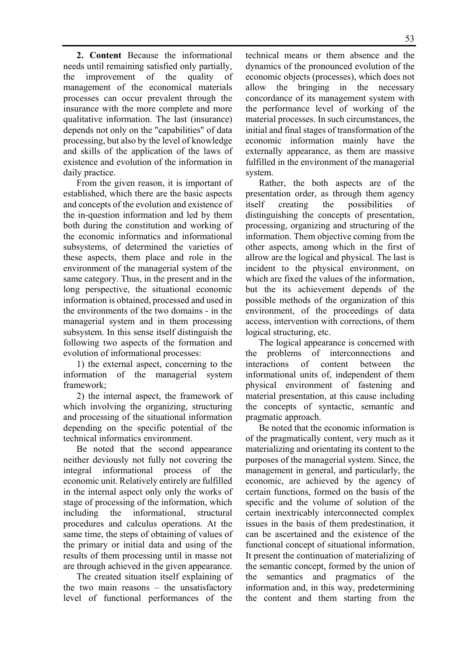**2. Content** Because the informational needs until remaining satisfied only partially, the improvement of the quality of management of the economical materials processes can occur prevalent through the insurance with the more complete and more qualitative information. The last (insurance) depends not only on the "capabilities" of data processing, but also by the level of knowledge and skills of the application of the laws of existence and evolution of the information in daily practice.

From the given reason, it is important of established, which there are the basic aspects and concepts of the evolution and existence of the in-question information and led by them both during the constitution and working of the economic informatics and informational subsystems, of determined the varieties of these aspects, them place and role in the environment of the managerial system of the same category. Thus, in the present and in the long perspective, the situational economic information is obtained, processed and used in the environments of the two domains - in the managerial system and in them processing subsystem. In this sense itself distinguish the following two aspects of the formation and evolution of informational processes:

1) the external aspect, concerning to the information of the managerial system framework;

2) the internal aspect, the framework of which involving the organizing, structuring and processing of the situational information depending on the specific potential of the technical informatics environment.

Be noted that the second appearance neither deviously not fully not covering the integral informational process of the economic unit. Relatively entirely are fulfilled in the internal aspect only only the works of stage of processing of the information, which including the informational, structural procedures and calculus operations. At the same time, the steps of obtaining of values of the primary or initial data and using of the results of them processing until in masse not are through achieved in the given appearance.

The created situation itself explaining of the two main reasons – the unsatisfactory level of functional performances of the

technical means or them absence and the dynamics of the pronounced evolution of the economic objects (processes), which does not allow the bringing in the necessary concordance of its management system with the performance level of working of the material processes. In such circumstances, the initial and final stages of transformation of the economic information mainly have the externally appearance, as them are massive fulfilled in the environment of the managerial system.

Rather, the both aspects are of the presentation order, as through them agency itself creating the possibilities of distinguishing the concepts of presentation, processing, organizing and structuring of the information. Them objective coming from the other aspects, among which in the first of allrow are the logical and physical. The last is incident to the physical environment, on which are fixed the values of the information, but the its achievement depends of the possible methods of the organization of this environment, of the proceedings of data access, intervention with corrections, of them logical structuring, etc.

The logical appearance is concerned with the problems of interconnections and interactions of content between the informational units of, independent of them physical environment of fastening and material presentation, at this cause including the concepts of syntactic, semantic and pragmatic approach.

Be noted that the economic information is of the pragmatically content, very much as it materializing and orientating its content to the purposes of the managerial system. Since, the management in general, and particularly, the economic, are achieved by the agency of certain functions, formed on the basis of the specific and the volume of solution of the certain inextricably interconnected complex issues in the basis of them predestination, it can be ascertained and the existence of the functional concept of situational information, It present the continuation of materializing of the semantic concept, formed by the union of the semantics and pragmatics of the information and, in this way, predetermining the content and them starting from the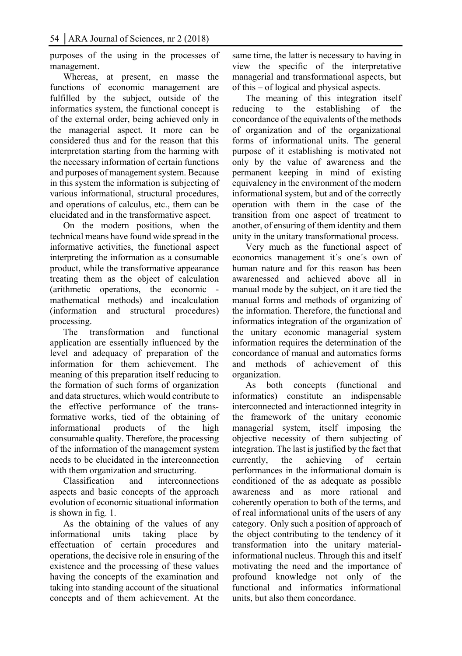purposes of the using in the processes of management.

Whereas, at present, en masse the functions of economic management are fulfilled by the subject, outside of the informatics system, the functional concept is of the external order, being achieved only in the managerial aspect. It more can be considered thus and for the reason that this interpretation starting from the harming with the necessary information of certain functions and purposes of management system. Because in this system the information is subjecting of various informational, structural procedures, and operations of calculus, etc., them can be elucidated and in the transformative aspect.

On the modern positions, when the technical means have found wide spread in the informative activities, the functional aspect interpreting the information as a consumable product, while the transformative appearance treating them as the object of calculation (arithmetic operations, the economic mathematical methods) and incalculation (information and structural procedures) processing.

The transformation and functional application are essentially influenced by the level and adequacy of preparation of the information for them achievement. The meaning of this preparation itself reducing to the formation of such forms of organization and data structures, which would contribute to the effective performance of the transformative works, tied of the obtaining of informational products of the high consumable quality. Therefore, the processing of the information of the management system needs to be elucidated in the interconnection with them organization and structuring.

Classification and interconnections aspects and basic concepts of the approach evolution of economic situational information is shown in fig. 1.

As the obtaining of the values of any informational units taking place by effectuation of certain procedures and operations, the decisive role in ensuring of the existence and the processing of these values having the concepts of the examination and taking into standing account of the situational concepts and of them achievement. At the same time, the latter is necessary to having in view the specific of the interpretative managerial and transformational aspects, but of this – of logical and physical aspects.

The meaning of this integration itself reducing to the establishing of the concordance of the equivalents of the methods of organization and of the organizational forms of informational units. The general purpose of it establishing is motivated not only by the value of awareness and the permanent keeping in mind of existing equivalency in the environment of the modern informational system, but and of the correctly operation with them in the case of the transition from one aspect of treatment to another, of ensuring of them identity and them unity in the unitary transformational process.

Very much as the functional aspect of economics management it´s one´s own of human nature and for this reason has been awarenessed and achieved above all in manual mode by the subject, on it are tied the manual forms and methods of organizing of the information. Therefore, the functional and informatics integration of the organization of the unitary economic managerial system information requires the determination of the concordance of manual and automatics forms and methods of achievement of this organization.

As both concepts (functional and informatics) constitute an indispensable interconnected and interactionned integrity in the framework of the unitary economic managerial system, itself imposing the objective necessity of them subjecting of integration. The last is justified by the fact that currently, the achieving of certain performances in the informational domain is conditioned of the as adequate as possible awareness and as more rational and coherently operation to both of the terms, and of real informational units of the users of any category. Only such a position of approach of the object contributing to the tendency of it transformation into the unitary materialinformational nucleus. Through this and itself motivating the need and the importance of profound knowledge not only of the functional and informatics informational units, but also them concordance.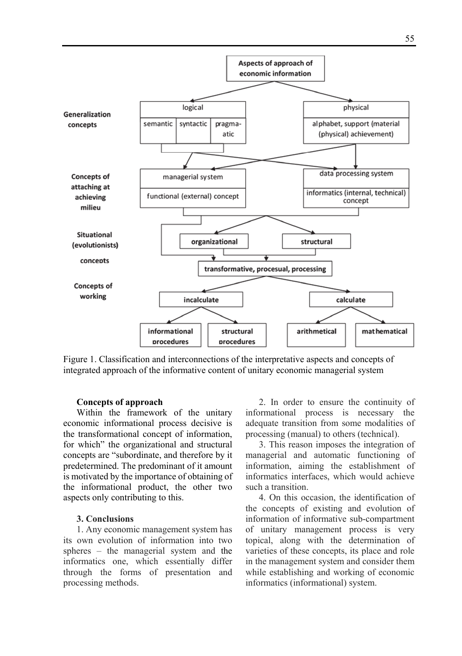

Figure 1. Classification and interconnections of the interpretative aspects and concepts of integrated approach of the informative content of unitary economic managerial system

#### **Concepts of approach**

Within the framework of the unitary economic informational process decisive is the transformational concept of information, for which" the organizational and structural concepts are "subordinate, and therefore by it predetermined. The predominant of it amount is motivated by the importance of obtaining of the informational product, the other two aspects only contributing to this.

#### **3. Conclusions**

1. Any economic management system has its own evolution of information into two spheres – the managerial system and the informatics one, which essentially differ through the forms of presentation and processing methods.

2. In order to ensure the continuity of informational process is necessary the adequate transition from some modalities of processing (manual) to others (technical).

3. This reason imposes the integration of managerial and automatic functioning of information, aiming the establishment of informatics interfaces, which would achieve such a transition.

4. On this occasion, the identification of the concepts of existing and evolution of information of informative sub-compartment of unitary management process is very topical, along with the determination of varieties of these concepts, its place and role in the management system and consider them while establishing and working of economic informatics (informational) system.